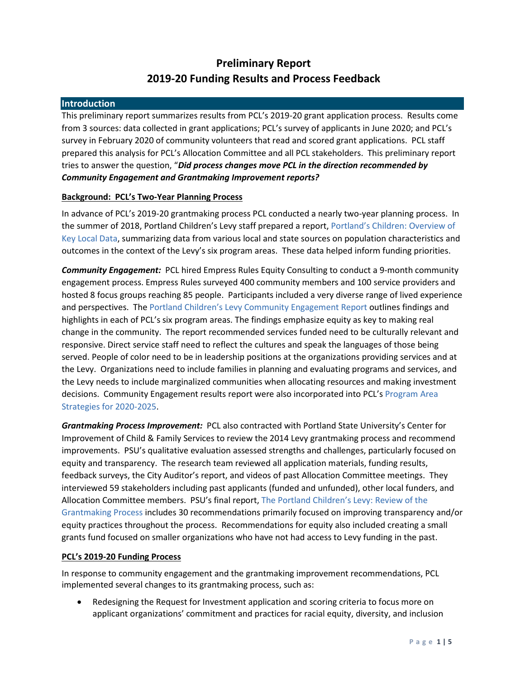# **Preliminary Report 2019-20 Funding Results and Process Feedback**

### **Introduction**

This preliminary report summarizes results from PCL's 2019-20 grant application process. Results come from 3 sources: data collected in grant applications; PCL's survey of applicants in June 2020; and PCL's survey in February 2020 of community volunteers that read and scored grant applications. PCL staff prepared this analysis for PCL's Allocation Committee and all PCL stakeholders. This preliminary report tries to answer the question, "*Did process changes move PCL in the direction recommended by Community Engagement and Grantmaking Improvement reports?*

# **Background: PCL's Two-Year Planning Process**

In advance of PCL's 2019-20 grantmaking process PCL conducted a nearly two-year planning process. In the summer of 2018, Portland Children's Levy staff prepared a report, [Portland's Children: Overview of](https://www.portlandchildrenslevy.org/sites/default/files/Local%20Data%20Profile.FINAL_.09.11.18.pdf)  [Key Local Data,](https://www.portlandchildrenslevy.org/sites/default/files/Local%20Data%20Profile.FINAL_.09.11.18.pdf) summarizing data from various local and state sources on population characteristics and outcomes in the context of the Levy's six program areas. These data helped inform funding priorities.

*Community Engagement:* PCL hired Empress Rules Equity Consulting to conduct a 9-month community engagement process. Empress Rules surveyed 400 community members and 100 service providers and hosted 8 focus groups reaching 85 people. Participants included a very diverse range of lived experience and perspectives. Th[e Portland Children's Levy Community Engagement Report](https://www.portlandchildrenslevy.org/sites/default/files/documents/Portland%20Children%27s%20Levy%20Report.pdf) outlines findings and highlights in each of PCL's six program areas. The findings emphasize equity as key to making real change in the community. The report recommended services funded need to be culturally relevant and responsive. Direct service staff need to reflect the cultures and speak the languages of those being served. People of color need to be in leadership positions at the organizations providing services and at the Levy. Organizations need to include families in planning and evaluating programs and services, and the Levy needs to include marginalized communities when allocating resources and making investment decisions. Community Engagement results report were also incorporated into PCL's [Program Area](https://www.portlandchildrenslevy.org/sites/default/files/PCL%20Program%20Area%20Strategies%202020-19.FINAL_.06.24.19_0.pdf)  [Strategies for 2020-2025.](https://www.portlandchildrenslevy.org/sites/default/files/PCL%20Program%20Area%20Strategies%202020-19.FINAL_.06.24.19_0.pdf)

*Grantmaking Process Improvement:* PCL also contracted with Portland State University's Center for Improvement of Child & Family Services to review the 2014 Levy grantmaking process and recommend improvements. PSU's qualitative evaluation assessed strengths and challenges, particularly focused on equity and transparency. The research team reviewed all application materials, funding results, feedback surveys, the City Auditor's report, and videos of past Allocation Committee meetings. They interviewed 59 stakeholders including past applicants (funded and unfunded), other local funders, and Allocation Committee members. PSU's final report, [The Portland Children's Levy: Review of the](https://www.portlandchildrenslevy.org/sites/default/files/PSU.Grantmaking%20Process%20Improvement.%20Final%20Report.01.30.19.pdf)  [Grantmaking Process](https://www.portlandchildrenslevy.org/sites/default/files/PSU.Grantmaking%20Process%20Improvement.%20Final%20Report.01.30.19.pdf) includes 30 recommendations primarily focused on improving transparency and/or equity practices throughout the process. Recommendations for equity also included creating a small grants fund focused on smaller organizations who have not had access to Levy funding in the past.

### **PCL's 2019-20 Funding Process**

In response to community engagement and the grantmaking improvement recommendations, PCL implemented several changes to its grantmaking process, such as:

• Redesigning the Request for Investment application and scoring criteria to focus more on applicant organizations' commitment and practices for racial equity, diversity, and inclusion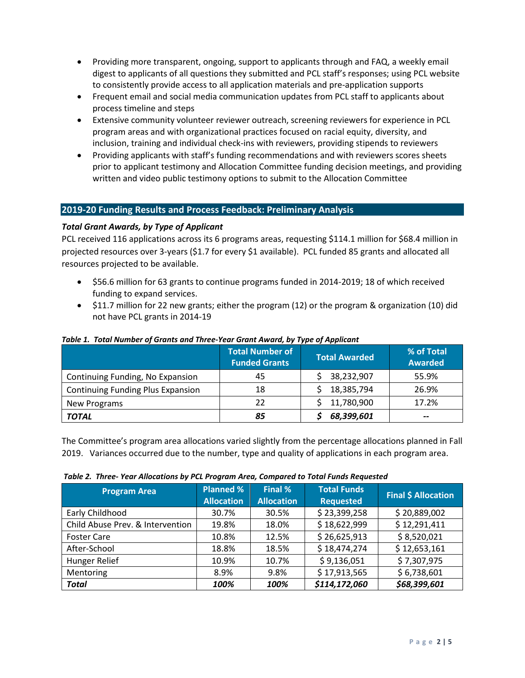- Providing more transparent, ongoing, support to applicants through and FAQ, a weekly email digest to applicants of all questions they submitted and PCL staff's responses; using PCL website to consistently provide access to all application materials and pre-application supports
- Frequent email and social media communication updates from PCL staff to applicants about process timeline and steps
- Extensive community volunteer reviewer outreach, screening reviewers for experience in PCL program areas and with organizational practices focused on racial equity, diversity, and inclusion, training and individual check-ins with reviewers, providing stipends to reviewers
- Providing applicants with staff's funding recommendations and with reviewers scores sheets prior to applicant testimony and Allocation Committee funding decision meetings, and providing written and video public testimony options to submit to the Allocation Committee

# **2019-20 Funding Results and Process Feedback: Preliminary Analysis**

# *Total Grant Awards, by Type of Applicant*

PCL received 116 applications across its 6 programs areas, requesting \$114.1 million for \$68.4 million in projected resources over 3-years (\$1.7 for every \$1 available). PCL funded 85 grants and allocated all resources projected to be available.

- \$56.6 million for 63 grants to continue programs funded in 2014-2019; 18 of which received funding to expand services.
- \$11.7 million for 22 new grants; either the program (12) or the program & organization (10) did not have PCL grants in 2014-19

|                                          | <b>Total Number of</b><br><b>Funded Grants</b> | <b>Total Awarded</b> | % of Total<br><b>Awarded</b> |  |
|------------------------------------------|------------------------------------------------|----------------------|------------------------------|--|
| Continuing Funding, No Expansion         | 45                                             | 38,232,907           | 55.9%                        |  |
| <b>Continuing Funding Plus Expansion</b> | 18                                             | 18,385,794           | 26.9%                        |  |
| New Programs                             | 22                                             | 11,780,900           | 17.2%                        |  |
| <b>TOTAL</b>                             | 85                                             | 68,399,601           | $\overline{\phantom{m}}$     |  |

### *Table 1. Total Number of Grants and Three-Year Grant Award, by Type of Applicant*

The Committee's program area allocations varied slightly from the percentage allocations planned in Fall 2019. Variances occurred due to the number, type and quality of applications in each program area.

|  | Table 2. Three-Year Allocations by PCL Program Area, Compared to Total Funds Requested |  |  |
|--|----------------------------------------------------------------------------------------|--|--|
|  |                                                                                        |  |  |

| <b>Program Area</b>              | <b>Planned %</b><br><b>Allocation</b> | Final %<br><b>Allocation</b> | <b>Total Funds</b><br><b>Requested</b> | <b>Final \$ Allocation</b> |
|----------------------------------|---------------------------------------|------------------------------|----------------------------------------|----------------------------|
| Early Childhood                  | 30.7%                                 | 30.5%                        | \$23,399,258                           | \$20,889,002               |
| Child Abuse Prev. & Intervention | 19.8%                                 | 18.0%                        | \$18,622,999                           | \$12,291,411               |
| <b>Foster Care</b>               | 10.8%                                 | 12.5%                        | \$26,625,913                           | \$8,520,021                |
| After-School                     | 18.8%                                 | 18.5%                        | \$18,474,274                           | \$12,653,161               |
| Hunger Relief                    | 10.9%                                 | 10.7%                        | \$9,136,051                            | \$7,307,975                |
| Mentoring                        | 8.9%                                  | 9.8%                         | \$17,913,565                           | \$6,738,601                |
| <b>Total</b>                     | 100%                                  | 100%                         | \$114,172,060                          | \$68,399,601               |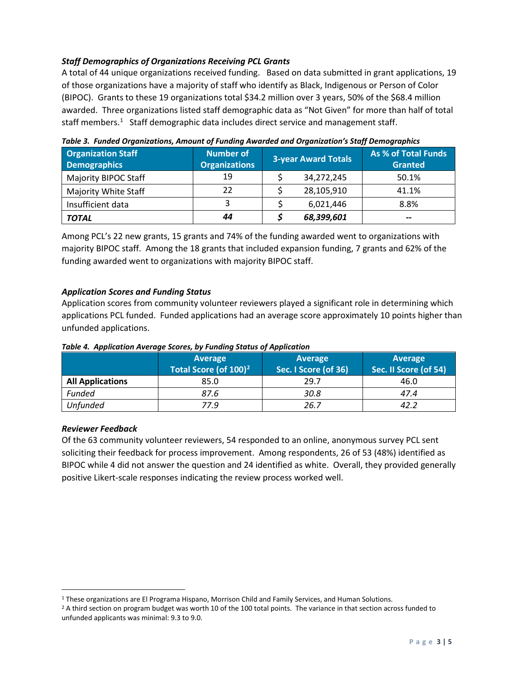# *Staff Demographics of Organizations Receiving PCL Grants*

A total of 44 unique organizations received funding. Based on data submitted in grant applications, 19 of those organizations have a majority of staff who identify as Black, Indigenous or Person of Color (BIPOC). Grants to these 19 organizations total \$34.2 million over 3 years, 50% of the \$68.4 million awarded. Three organizations listed staff demographic data as "Not Given" for more than half of total staff members.<sup>[1](#page-2-0)</sup> Staff demographic data includes direct service and management staff.

| <b>Organization Staff</b><br>Demographics | <b>Number of</b><br><b>Organizations</b> | <b>3-year Award Totals</b> |            | As % of Total Funds<br><b>Granted</b> |  |
|-------------------------------------------|------------------------------------------|----------------------------|------------|---------------------------------------|--|
| Majority BIPOC Staff                      | 19                                       |                            | 34,272,245 | 50.1%                                 |  |
| Majority White Staff                      | 22                                       |                            | 28,105,910 | 41.1%                                 |  |
| Insufficient data                         |                                          |                            | 6,021,446  | 8.8%                                  |  |
| <b>TOTAL</b>                              | 44                                       |                            | 68,399,601 | $- -$                                 |  |

*Table 3. Funded Organizations, Amount of Funding Awarded and Organization's Staff Demographics*

Among PCL's 22 new grants, 15 grants and 74% of the funding awarded went to organizations with majority BIPOC staff. Among the 18 grants that included expansion funding, 7 grants and 62% of the funding awarded went to organizations with majority BIPOC staff.

# *Application Scores and Funding Status*

Application scores from community volunteer reviewers played a significant role in determining which applications PCL funded. Funded applications had an average score approximately 10 points higher than unfunded applications.

|                         | Average<br>Total Score (of 100) <sup>2</sup> | <b>Average</b><br>Sec. I Score (of 36) | Average<br>Sec. II Score (of 54) |
|-------------------------|----------------------------------------------|----------------------------------------|----------------------------------|
| <b>All Applications</b> | 85.0                                         | 29.7                                   | 46.0                             |
| <b>Funded</b>           | 87.6                                         | 30.8                                   | 47.4                             |
| <b>Unfunded</b>         | 77.9                                         | 26.7                                   | 42.2                             |

#### *Table 4. Application Average Scores, by Funding Status of Application*

### *Reviewer Feedback*

Of the 63 community volunteer reviewers, 54 responded to an online, anonymous survey PCL sent soliciting their feedback for process improvement. Among respondents, 26 of 53 (48%) identified as BIPOC while 4 did not answer the question and 24 identified as white. Overall, they provided generally positive Likert-scale responses indicating the review process worked well.

<span id="page-2-0"></span><sup>1</sup> These organizations are El Programa Hispano, Morrison Child and Family Services, and Human Solutions.

<span id="page-2-1"></span><sup>&</sup>lt;sup>2</sup> A third section on program budget was worth 10 of the 100 total points. The variance in that section across funded to unfunded applicants was minimal: 9.3 to 9.0.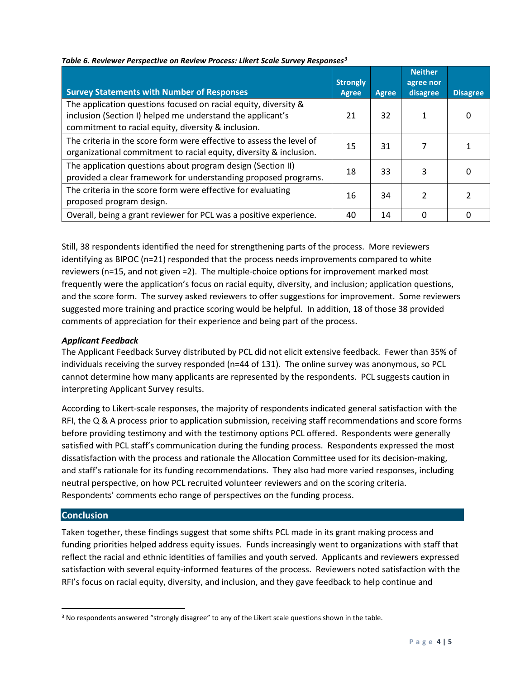| <b>Survey Statements with Number of Responses</b>                                                                                                                                    | <b>Strongly</b><br><b>Agree</b> | <b>Agree</b> | <b>Neither</b><br>agree nor<br>disagree | <b>Disagree</b> |
|--------------------------------------------------------------------------------------------------------------------------------------------------------------------------------------|---------------------------------|--------------|-----------------------------------------|-----------------|
| The application questions focused on racial equity, diversity &<br>inclusion (Section I) helped me understand the applicant's<br>commitment to racial equity, diversity & inclusion. | 21                              | 32           |                                         | 0               |
| The criteria in the score form were effective to assess the level of<br>organizational commitment to racial equity, diversity & inclusion.                                           | 15                              | 31           |                                         |                 |
| The application questions about program design (Section II)<br>provided a clear framework for understanding proposed programs.                                                       | 18                              | 33           | 3                                       |                 |
| The criteria in the score form were effective for evaluating<br>proposed program design.                                                                                             | 16                              | 34           |                                         |                 |
| Overall, being a grant reviewer for PCL was a positive experience.                                                                                                                   | 40                              | 14           | ი                                       | $\Omega$        |

#### *Table 6. Reviewer Perspective on Review Process: Likert Scale Survey Responses[3](#page-3-0)*

Still, 38 respondents identified the need for strengthening parts of the process. More reviewers identifying as BIPOC (n=21) responded that the process needs improvements compared to white reviewers (n=15, and not given =2). The multiple-choice options for improvement marked most frequently were the application's focus on racial equity, diversity, and inclusion; application questions, and the score form. The survey asked reviewers to offer suggestions for improvement. Some reviewers suggested more training and practice scoring would be helpful. In addition, 18 of those 38 provided comments of appreciation for their experience and being part of the process.

### *Applicant Feedback*

The Applicant Feedback Survey distributed by PCL did not elicit extensive feedback. Fewer than 35% of individuals receiving the survey responded (n=44 of 131). The online survey was anonymous, so PCL cannot determine how many applicants are represented by the respondents. PCL suggests caution in interpreting Applicant Survey results.

According to Likert-scale responses, the majority of respondents indicated general satisfaction with the RFI, the Q & A process prior to application submission, receiving staff recommendations and score forms before providing testimony and with the testimony options PCL offered. Respondents were generally satisfied with PCL staff's communication during the funding process. Respondents expressed the most dissatisfaction with the process and rationale the Allocation Committee used for its decision-making, and staff's rationale for its funding recommendations. They also had more varied responses, including neutral perspective, on how PCL recruited volunteer reviewers and on the scoring criteria. Respondents' comments echo range of perspectives on the funding process.

### **Conclusion**

Taken together, these findings suggest that some shifts PCL made in its grant making process and funding priorities helped address equity issues. Funds increasingly went to organizations with staff that reflect the racial and ethnic identities of families and youth served. Applicants and reviewers expressed satisfaction with several equity-informed features of the process. Reviewers noted satisfaction with the RFI's focus on racial equity, diversity, and inclusion, and they gave feedback to help continue and

<span id="page-3-0"></span><sup>&</sup>lt;sup>3</sup> No respondents answered "strongly disagree" to any of the Likert scale questions shown in the table.